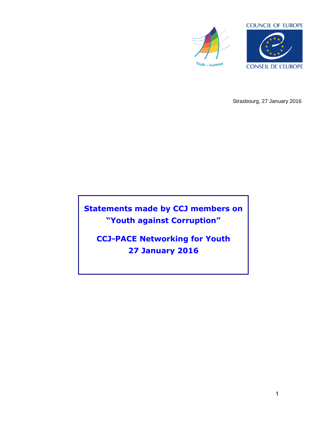



Strasbourg, 27 January 2016

**Statements made by CCJ members on "Youth against Corruption"**

**CCJ-PACE Networking for Youth 27 January 2016**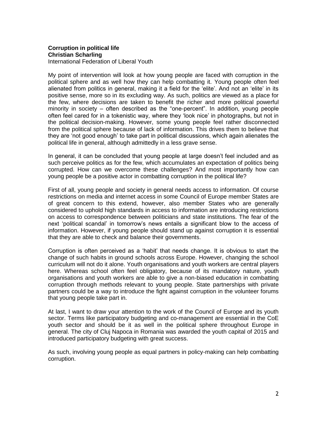## **Corruption in political life Christian Scharling**

International Federation of Liberal Youth

My point of intervention will look at how young people are faced with corruption in the political sphere and as well how they can help combatting it. Young people often feel alienated from politics in general, making it a field for the 'elite'. And not an 'elite' in its positive sense, more so in its excluding way. As such, politics are viewed as a place for the few, where decisions are taken to benefit the richer and more political powerful minority in society – often described as the "one-percent". In addition, young people often feel cared for in a tokenistic way, where they 'look nice' in photographs, but not in the political decision-making. However, some young people feel rather disconnected from the political sphere because of lack of information. This drives them to believe that they are 'not good enough' to take part in political discussions, which again alienates the political life in general, although admittedly in a less grave sense.

In general, it can be concluded that young people at large doesn't feel included and as such perceive politics as for the few, which accumulates an expectation of politics being corrupted. How can we overcome these challenges? And most importantly how can young people be a positive actor in combatting corruption in the political life?

First of all, young people and society in general needs access to information. Of course restrictions on media and internet access in some Council of Europe member States are of great concern to this extend, however, also member States who are generally considered to uphold high standards in access to information are introducing restrictions on access to correspondence between politicians and state institutions. The fear of the next 'political scandal' in tomorrow's news entails a significant blow to the access of information. However, if young people should stand up against corruption it is essential that they are able to check and balance their governments.

Corruption is often perceived as a 'habit' that needs change. It is obvious to start the change of such habits in ground schools across Europe. However, changing the school curriculum will not do it alone. Youth organisations and youth workers are central players here. Whereas school often feel obligatory, because of its mandatory nature, youth organisations and youth workers are able to give a non-biased education in combatting corruption through methods relevant to young people. State partnerships with private partners could be a way to introduce the fight against corruption in the volunteer forums that young people take part in.

At last, I want to draw your attention to the work of the Council of Europe and its youth sector. Terms like participatory budgeting and co-management are essential in the CoE youth sector and should be it as well in the political sphere throughout Europe in general. The city of Cluj Napoca in Romania was awarded the youth capital of 2015 and introduced participatory budgeting with great success.

As such, involving young people as equal partners in policy-making can help combatting corruption.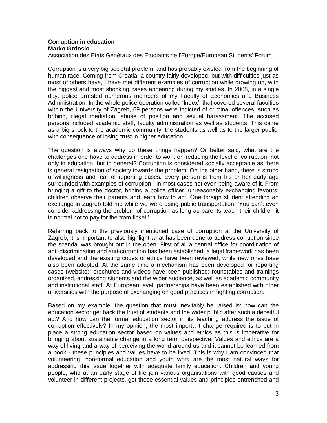## **Corruption in education Marko Grdosic**

Association des Etats Généraux des Etudiants de l'Europe/European Students' Forum

Corruption is a very big societal problem, and has probably existed from the beginning of human race. Coming from Croatia, a country fairly developed, but with difficulties just as most of others have, I have met different examples of corruption while growing up, with the biggest and most shocking cases appearing during my studies. In 2008, in a single day, police arrested numerous members of my Faculty of Economics and Business Administration. In the whole police operation called 'Index', that covered several faculties within the University of Zagreb, 69 persons were indicted of criminal offences, such as bribing, illegal mediation, abuse of position and sexual harassment. The accused persons included academic staff, faculty administration as well as students. This came as a big shock to the academic community, the students as well as to the larger public, with consequence of losing trust in higher education.

The question is always why do these things happen? Or better said, what are the challenges one have to address in order to work on reducing the level of corruption, not only in education, but in general? Corruption is considered socially acceptable as there is general resignation of society towards the problem. On the other hand, there is strong unwillingness and fear of reporting cases. Every person is from his or her early age surrounded with examples of corruption - in most cases not even being aware of it. From bringing a gift to the doctor, bribing a police officer, unreasonably exchanging favours; children observe their parents and learn how to act. One foreign student attending an exchange in Zagreb told me while we were using public transportation: 'You can't even consider addressing the problem of corruption as long as parents teach their children it is normal not to pay for the tram ticket!'

Referring back to the previously mentioned case of corruption at the University of Zagreb, it is important to also highlight what has been done to address corruption since the scandal was brought out in the open. First of all a central office for coordination of anti-discrimination and anti-corruption has been established; a legal framework has been developed and the existing codes of ethics have been reviewed, while new ones have also been adopted. At the same time a mechanism has been developed for reporting cases (website); brochures and videos have been published; roundtables and trainings organised, addressing students and the wider audience, as well as academic community and institutional staff. At European level, partnerships have been established with other universities with the purpose of exchanging on good practices in fighting corruption.

Based on my example, the question that must inevitably be raised is: how can the education sector get back the trust of students and the wider public after such a deceitful act? And how can the formal education sector in its teaching address the issue of corruption effectively? In my opinion, the most important change required is to put in place a strong education sector based on values and ethics as this is imperative for bringing about sustainable change in a long term perspective. Values and ethics are a way of living and a way of perceiving the world around us and it cannot be learned from a book - these principles and values have to be lived. This is why I am convinced that volunteering, non-formal education and youth work are the most natural ways for addressing this issue together with adequate family education. Children and young people, who at an early stage of life join various organisations with good causes and volunteer in different projects, get those essential values and principles entrenched and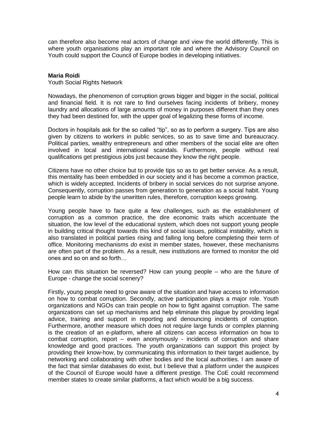can therefore also become real actors of change and view the world differently. This is where youth organisations play an important role and where the Advisory Council on Youth could support the Council of Europe bodies in developing initiatives.

## **Maria Roidi**

Youth Social Rights Network

Nowadays, the phenomenon of corruption grows bigger and bigger in the social, political and financial field. It is not rare to find ourselves facing incidents of bribery, money laundry and allocations of large amounts of money in purposes different than they ones they had been destined for, with the upper goal of legalizing these forms of income.

Doctors in hospitals ask for the so called "tip", so as to perform a surgery. Tips are also given by citizens to workers in public services, so as to save time and bureaucracy. Political parties, wealthy entrepreneurs and other members of the social elite are often involved in local and international scandals. Furthermore, people without real qualifications get prestigious jobs just because they know the right people.

Citizens have no other choice but to provide tips so as to get better service. As a result, this mentality has been embedded in our society and it has become a common practice, which is widely accepted. Incidents of bribery in social services do not surprise anyone. Consequently, corruption passes from generation to generation as a social habit. Young people learn to abide by the unwritten rules, therefore, corruption keeps growing.

Young people have to face quite a few challenges, such as the establishment of corruption as a common practice, the dire economic traits which accentuate the situation, the low level of the educational system, which does not support young people in building critical thought towards this kind of social issues, political instability, which is also translated in political parties rising and falling long before completing their term of office. Monitoring mechanisms *do* exist in member states, however, these mechanisms are often part of the problem. As a result, new institutions are formed to monitor the old ones and so on and so forth…

How can this situation be reversed? How can young people – who are the future of Europe - change the social scenery?

Firstly, young people need to grow aware of the situation and have access to information on how to combat corruption. Secondly, active participation plays a major role. Youth organizations and NGOs can train people on how to fight against corruption. The same organizations can set up mechanisms and help eliminate this plague by providing legal advice, training and support in reporting and denouncing incidents of corruption. Furthermore, another measure which does not require large funds or complex planning is the creation of an e-platform, where all citizens can access information on how to combat corruption, report – even anonymously - incidents of corruption and share knowledge and good practices. The youth organizations can support this project by providing their know-how, by communicating this information to their target audience, by networking and collaborating with other bodies and the local authorities. I am aware of the fact that similar databases do exist, but I believe that a platform under the auspices of the Council of Europe would have a different prestige. The CoE could recommend member states to create similar platforms, a fact which would be a big success.